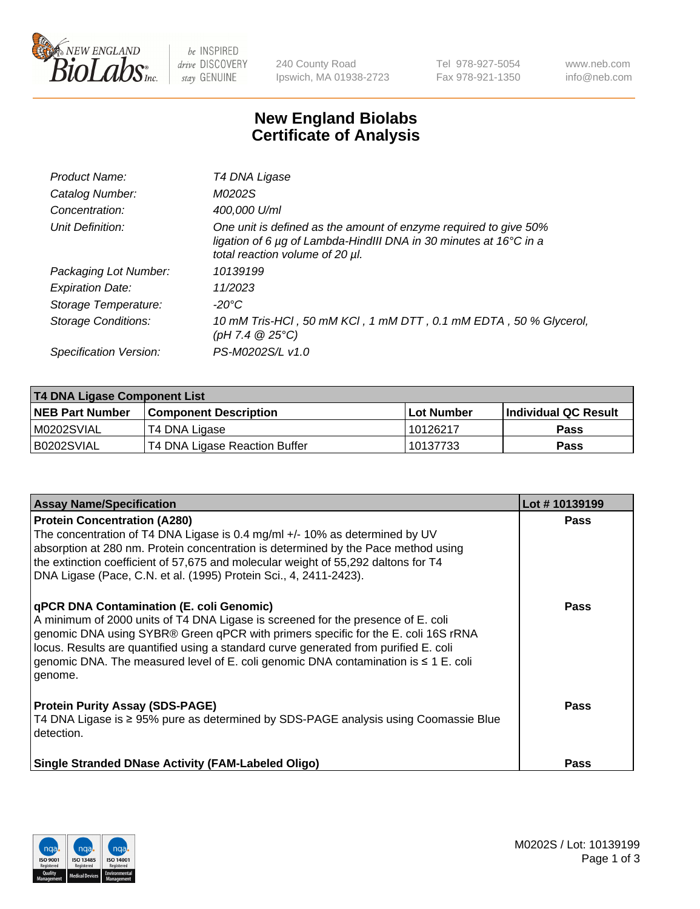

 $be$  INSPIRED drive DISCOVERY stay GENUINE

240 County Road Ipswich, MA 01938-2723 Tel 978-927-5054 Fax 978-921-1350 www.neb.com info@neb.com

## **New England Biolabs Certificate of Analysis**

| Product Name:              | T4 DNA Ligase                                                                                                                                                            |
|----------------------------|--------------------------------------------------------------------------------------------------------------------------------------------------------------------------|
| Catalog Number:            | M0202S                                                                                                                                                                   |
| Concentration:             | 400,000 U/ml                                                                                                                                                             |
| Unit Definition:           | One unit is defined as the amount of enzyme required to give 50%<br>ligation of 6 µg of Lambda-HindIII DNA in 30 minutes at 16°C in a<br>total reaction volume of 20 µl. |
| Packaging Lot Number:      | 10139199                                                                                                                                                                 |
| <b>Expiration Date:</b>    | 11/2023                                                                                                                                                                  |
| Storage Temperature:       | -20°C                                                                                                                                                                    |
| <b>Storage Conditions:</b> | 10 mM Tris-HCl, 50 mM KCl, 1 mM DTT, 0.1 mM EDTA, 50 % Glycerol,<br>(pH 7.4 $@25°C$ )                                                                                    |
| Specification Version:     | PS-M0202S/L v1.0                                                                                                                                                         |

| <b>T4 DNA Ligase Component List</b> |                               |              |                             |  |
|-------------------------------------|-------------------------------|--------------|-----------------------------|--|
| <b>NEB Part Number</b>              | <b>Component Description</b>  | l Lot Number | <b>Individual QC Result</b> |  |
| M0202SVIAL                          | T4 DNA Ligase                 | 10126217     | <b>Pass</b>                 |  |
| B0202SVIAL                          | T4 DNA Ligase Reaction Buffer | 10137733     | <b>Pass</b>                 |  |

| <b>Assay Name/Specification</b>                                                                                                                                                                                                                                                                                                                                                                                    | Lot #10139199 |
|--------------------------------------------------------------------------------------------------------------------------------------------------------------------------------------------------------------------------------------------------------------------------------------------------------------------------------------------------------------------------------------------------------------------|---------------|
| <b>Protein Concentration (A280)</b><br>The concentration of T4 DNA Ligase is 0.4 mg/ml +/- 10% as determined by UV<br>absorption at 280 nm. Protein concentration is determined by the Pace method using<br>the extinction coefficient of 57,675 and molecular weight of 55,292 daltons for T4<br>DNA Ligase (Pace, C.N. et al. (1995) Protein Sci., 4, 2411-2423).                                                | <b>Pass</b>   |
| <b>qPCR DNA Contamination (E. coli Genomic)</b><br>A minimum of 2000 units of T4 DNA Ligase is screened for the presence of E. coli<br>genomic DNA using SYBR® Green qPCR with primers specific for the E. coli 16S rRNA<br>locus. Results are quantified using a standard curve generated from purified E. coli<br>genomic DNA. The measured level of E. coli genomic DNA contamination is ≤ 1 E. coli<br>genome. | <b>Pass</b>   |
| <b>Protein Purity Assay (SDS-PAGE)</b><br>T4 DNA Ligase is ≥ 95% pure as determined by SDS-PAGE analysis using Coomassie Blue<br>detection.                                                                                                                                                                                                                                                                        | Pass          |
| <b>Single Stranded DNase Activity (FAM-Labeled Oligo)</b>                                                                                                                                                                                                                                                                                                                                                          | <b>Pass</b>   |

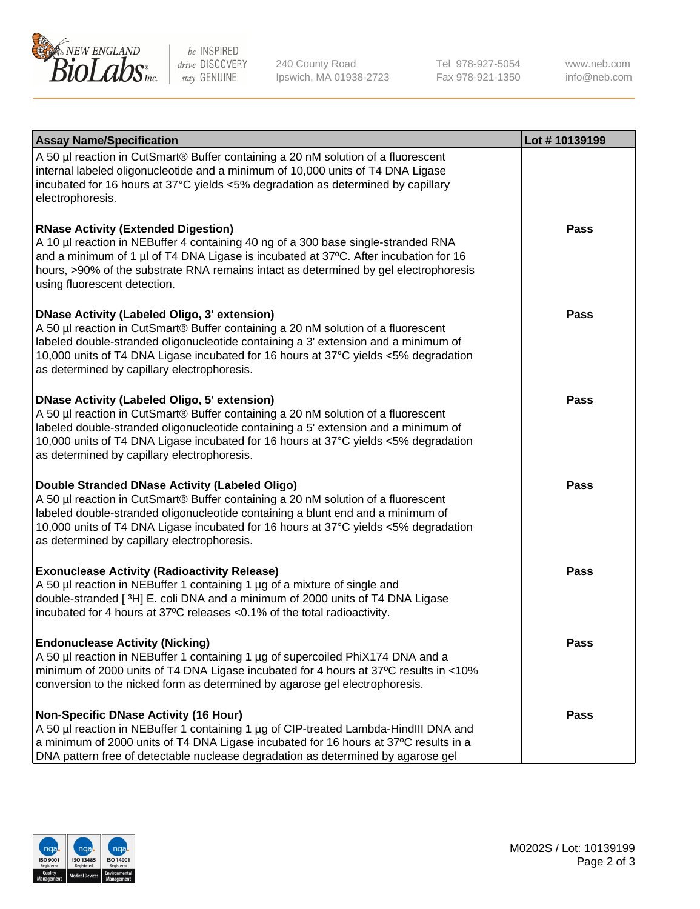

be INSPIRED drive DISCOVERY stay GENUINE

240 County Road Ipswich, MA 01938-2723 Tel 978-927-5054 Fax 978-921-1350 www.neb.com info@neb.com

| <b>Assay Name/Specification</b>                                                                                                                                                                                                                                                                                                                                      | Lot #10139199 |
|----------------------------------------------------------------------------------------------------------------------------------------------------------------------------------------------------------------------------------------------------------------------------------------------------------------------------------------------------------------------|---------------|
| A 50 µl reaction in CutSmart® Buffer containing a 20 nM solution of a fluorescent<br>internal labeled oligonucleotide and a minimum of 10,000 units of T4 DNA Ligase<br>incubated for 16 hours at 37°C yields <5% degradation as determined by capillary<br>electrophoresis.                                                                                         |               |
| <b>RNase Activity (Extended Digestion)</b><br>A 10 µl reaction in NEBuffer 4 containing 40 ng of a 300 base single-stranded RNA<br>and a minimum of 1 µl of T4 DNA Ligase is incubated at 37°C. After incubation for 16<br>hours, >90% of the substrate RNA remains intact as determined by gel electrophoresis<br>using fluorescent detection.                      | <b>Pass</b>   |
| <b>DNase Activity (Labeled Oligo, 3' extension)</b><br>A 50 µl reaction in CutSmart® Buffer containing a 20 nM solution of a fluorescent<br>labeled double-stranded oligonucleotide containing a 3' extension and a minimum of<br>10,000 units of T4 DNA Ligase incubated for 16 hours at 37°C yields <5% degradation<br>as determined by capillary electrophoresis. | Pass          |
| <b>DNase Activity (Labeled Oligo, 5' extension)</b><br>A 50 µl reaction in CutSmart® Buffer containing a 20 nM solution of a fluorescent<br>labeled double-stranded oligonucleotide containing a 5' extension and a minimum of<br>10,000 units of T4 DNA Ligase incubated for 16 hours at 37°C yields <5% degradation<br>as determined by capillary electrophoresis. | Pass          |
| Double Stranded DNase Activity (Labeled Oligo)<br>A 50 µl reaction in CutSmart® Buffer containing a 20 nM solution of a fluorescent<br>labeled double-stranded oligonucleotide containing a blunt end and a minimum of<br>10,000 units of T4 DNA Ligase incubated for 16 hours at 37°C yields <5% degradation<br>as determined by capillary electrophoresis.         | <b>Pass</b>   |
| <b>Exonuclease Activity (Radioactivity Release)</b><br>A 50 µl reaction in NEBuffer 1 containing 1 µg of a mixture of single and<br>double-stranded [3H] E. coli DNA and a minimum of 2000 units of T4 DNA Ligase<br>incubated for 4 hours at 37°C releases <0.1% of the total radioactivity.                                                                        | <b>Pass</b>   |
| <b>Endonuclease Activity (Nicking)</b><br>A 50 µl reaction in NEBuffer 1 containing 1 µg of supercoiled PhiX174 DNA and a<br>minimum of 2000 units of T4 DNA Ligase incubated for 4 hours at 37°C results in <10%<br>conversion to the nicked form as determined by agarose gel electrophoresis.                                                                     | <b>Pass</b>   |
| <b>Non-Specific DNase Activity (16 Hour)</b><br>A 50 µl reaction in NEBuffer 1 containing 1 µg of CIP-treated Lambda-HindIII DNA and<br>a minimum of 2000 units of T4 DNA Ligase incubated for 16 hours at 37°C results in a<br>DNA pattern free of detectable nuclease degradation as determined by agarose gel                                                     | Pass          |